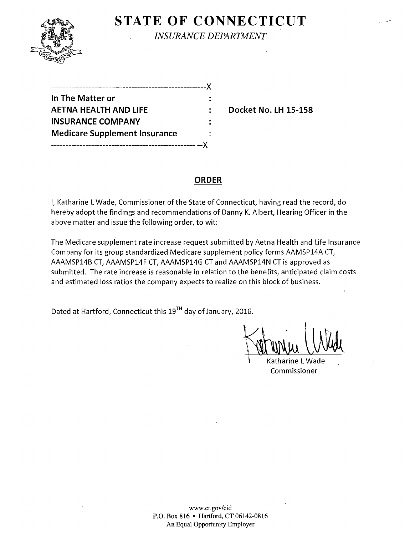

**STATE OF CONNECTICUT** 

*INSURANCE DEPARTMENT* 

| In The Matter or                     |  |
|--------------------------------------|--|
| <b>AETNA HEALTH AND LIFE</b>         |  |
| <b>INSURANCE COMPANY</b>             |  |
| <b>Medicare Supplement Insurance</b> |  |
|                                      |  |

**Docket No. LH 15-158** 

### **ORDER**

I, Katharine L Wade, Commissioner of the State of Connecticut, having read the record, do hereby adopt the findings and recommendations of Danny K. Albert, Hearing Officer in the above matter and issue the following order, to wit:

The Medicare supplement rate increase request submitted by Aetna Health and Life Insurance Company for its group standardized Medicare supplement policy forms AAMSP14A CT, AAAMSP14B CT, AAAMSP14F CT, AAAMSP14G CT and AAAMSP14N CT is approved as submitted. The rate increase is reasonable in relation to the benefits, anticipated claim costs and estimated loss ratios the company expects to realize on this block of business.

Dated at Hartford, Connecticut this 19<sup>TH</sup> day of January, 2016.

Matheman What

\ Katharine L Wade Commissioner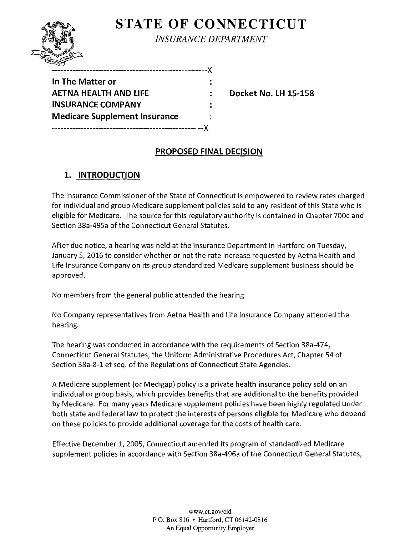

**STATE OF CONNECTICUT** *INSURANCE DEPARTMENT* 

| In The Matter or                     |  |
|--------------------------------------|--|
| AETNA HEALTH AND LIFE                |  |
| <b>INSURANCE COMPANY</b>             |  |
| <b>Medicare Supplement Insurance</b> |  |
|                                      |  |

**Docket No. LH 15-158** 

## **PROPOSED FINAL DECISION**

# **1. INTRODUCTION**

The Insurance Commissioner of the State of Connecticut is empowered to review rates charged for individual and group Medicare supplement policies sold to any resident of this State who is eligible for Medicare. The source for this regulatory authority is contained in Chapter 700c and Section 38a-495a of the Connecticut General Statutes.

After due notice, a hearing was held at the Insurance Department in Hartford on Tuesday, January 5, 2016 to consider whether or not the rate increase requested by Aetna Health and Life Insurance Company on its group standardized Medicare supplement business should be approved.

No members from the general public attended the hearing.

No Company representatives from Aetna Health and Life Insurance Company attended the hearing.

The hearing was conducted in accordance with the requirements of Section 38a-474, Connecticut General Statutes, the Uniform Administrative Procedures Act, Chapter 54 of Section 38a-8-1 et seq. of the Regulations of Connecticut State Agencies.

A Medicare supplement (or Medigap) policy is a private health insurance policy sold on an individual or group basis, which provides benefits that are additional to the benefits provided by Medicare. For many years Medicare supplement policies have been highly regulated under both state and federal law to protect the interests of persons eligible for Medicare who depend on these policies to provide additional coverage for the costs of health care.

Effective December 1, 2005, Connecticut amended its program of standardized Medicare supplement policies in accordance with Section 38a-496a of the Connecticut General Statutes,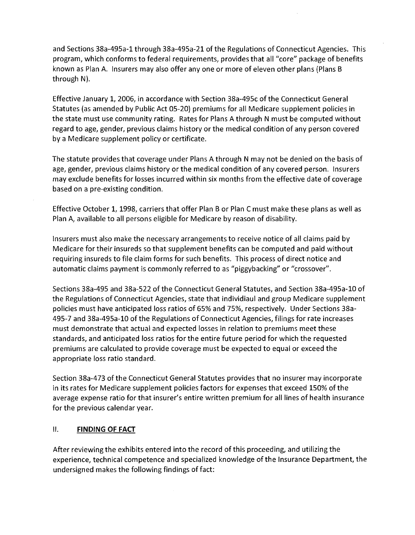and Sections 38a-495a-1 through 38a-495a-21 of the Regulations of Connecticut Agencies. This program, which conforms to federal requirements, provides that all "core" package of benefits known as Plan A. Insurers may also offer anyone or more of eleven other plans {Plans B through N}.

Effective January 1, 2006, in accordance with Section 38a-495c of the Connecticut General Statutes {as amended by Public Act 05-20} premiums for all Medicare supplement policies in the state must use community rating. Rates for Plans A through N must be computed without regard to age, gender, previous claims history or the medical condition of any person covered by a Medicare supplement policy or certificate.

The statute provides that coverage under Plans A through N may not be denied on the basis of age, gender, previous claims history or the medical condition of any covered person. Insurers may exclude benefits for losses incurred within six months from the effective date of coverage based on a pre-existing condition.

Effective October 1, 1998, carriers that offer Plan B or Plan C must make these plans as well as Plan A, available to all persons eligible for Medicare by reason of disability.

Insurers must also make the necessary arrangements to receive notice of all claims paid by Medicare for their insureds so that supplement benefits can be computed and paid without requiring insureds to file claim forms for such benefits. This process of direct notice and automatic claims payment is commonly referred to as "piggybacking" or "crossover".

Sections 38a-495 and 38a-522 ofthe Connecticut General Statutes, and Section 38a-495a-10 of the Regulations of Connecticut Agencies, state that individiaul and group Medicare supplement policies must have anticipated loss ratios of 65% and 75%, respectively. Under Sections 38a-495-7 and 38a-495a-10 of the Regulations of Connecticut Agencies, filings for rate increases must demonstrate that actual and expected losses in relation to premiums meet these standards, and anticipated loss ratios for the entire future period for which the requested premiums are calculated to provide coverage must be expected to equal or exceed the appropriate loss ratio standard.

Section 38a-473 ofthe Connecticut General Statutes provides that no insurer may incorporate in its rates for Medicare supplement policies factors for expenses that exceed 150% of the average expense ratio for that insurer's entire written premium for all lines of health insurance for the previous calendar year.

#### II. **FINDING OF FACT**

After reviewing the exhibits entered into the record of this proceeding, and utilizing the experience, technical competence and specialized knowledge of the Insurance Department, the undersigned makes the following findings of fact: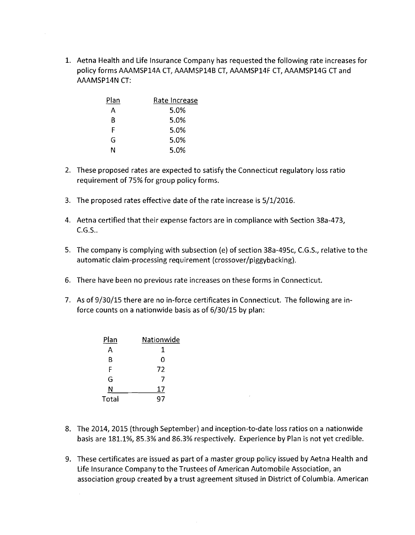1. Aetna Health and Life Insurance Company has requested the following rate increases for policy forms AAAMSP14A CT, AAAMSP14B CT, AAAMSP14F CT, AAAMSP14G CT and AAAMSP14N CT:

| Plan | Rate Increase |
|------|---------------|
| А    | 5.0%          |
| R    | 5.0%          |
| F    | 5.0%          |
| G    | 5.0%          |
| N    | 5.0%          |

- 2. These proposed rates are expected to satisfy the Connecticut regulatory loss ratio requirement of 75% for group policy forms.
- 3. The proposed rates effective date of the rate increase is  $5/1/2016$ .
- 4. Aetna certified that their expense factors are in compliance with Section 38a-473,  $C.G.S.$ .
- 5. The company is complying with subsection (e) of section 38a-495c, C.G.S., relative to the automatic claim-processing requirement (crossover/piggybacking).
- 6. There have been no previous rate increases on these forms in Connecticut.
- 7. As of 9/30/15 there are no in-force certificates in Connecticut. The following are inforce counts on a nationwide basis as of 6/30/15 by plan:

| Plan  | Nationwide |
|-------|------------|
| А     | 1          |
| B     | 0          |
| F     | 72         |
| G     | 7          |
| N     | 17         |
| Total | 97         |

 $\sim$ 

8. The 2014, 2015 (through September) and inception-to-date loss ratios on a nationwide basis are 181.1%, 85.3% and 86.3% respectively. Experience by Plan is not yet credible.

 $\label{eq:2.1} \mathcal{F}(\mathcal{F}) = \mathcal{F}(\mathcal{F}) = \mathcal{F}(\mathcal{F})$ 

9. These certificates are issued as part of a master group policy issued by Aetna Health and Life Insurance Company to the Trustees of American Automobile Association, an association group created by a trust agreement sitused in District of Columbia. American